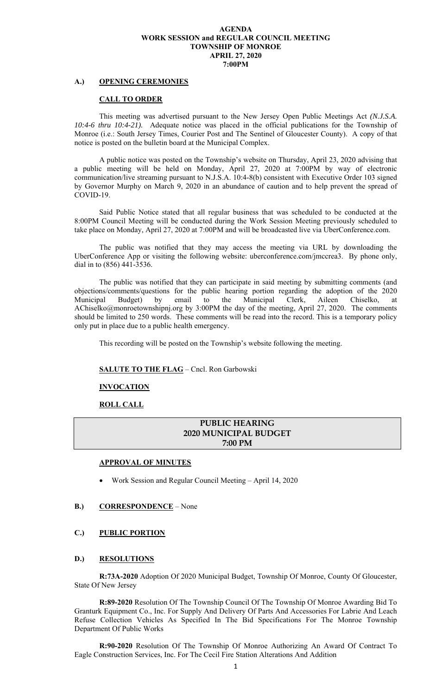#### **AGENDA WORK SESSION and REGULAR COUNCIL MEETING TOWNSHIP OF MONROE APRIL 27, 2020 7:00PM**

## **A.) OPENING CEREMONIES**

#### **CALL TO ORDER**

This meeting was advertised pursuant to the New Jersey Open Public Meetings Act *(N.J.S.A. 10:4-6 thru 10:4-21).* Adequate notice was placed in the official publications for the Township of Monroe (i.e.: South Jersey Times, Courier Post and The Sentinel of Gloucester County). A copy of that notice is posted on the bulletin board at the Municipal Complex.

A public notice was posted on the Township's website on Thursday, April 23, 2020 advising that a public meeting will be held on Monday, April 27, 2020 at 7:00PM by way of electronic communication/live streaming pursuant to N.J.S.A. 10:4-8(b) consistent with Executive Order 103 signed by Governor Murphy on March 9, 2020 in an abundance of caution and to help prevent the spread of COVID-19.

Said Public Notice stated that all regular business that was scheduled to be conducted at the 8:00PM Council Meeting will be conducted during the Work Session Meeting previously scheduled to take place on Monday, April 27, 2020 at 7:00PM and will be broadcasted live via UberConference.com.

The public was notified that they may access the meeting via URL by downloading the UberConference App or visiting the following website: uberconference.com/jmccrea3. By phone only, dial in to (856) 441-3536.

The public was notified that they can participate in said meeting by submitting comments (and objections/comments/questions for the public hearing portion regarding the adoption of the 2020 Municipal Budget) by email to the Municipal Clerk, Aileen Chiselko, at AChiselko@monroetownshipnj.org by 3:00PM the day of the meeting, April 27, 2020. The comments should be limited to 250 words. These comments will be read into the record. This is a temporary policy only put in place due to a public health emergency.

This recording will be posted on the Township's website following the meeting.

### **SALUTE TO THE FLAG** – Cncl. Ron Garbowski

### **INVOCATION**

### **ROLL CALL**

# **PUBLIC HEARING 2020 MUNICIPAL BUDGET 7:00 PM**

#### **APPROVAL OF MINUTES**

Work Session and Regular Council Meeting – April 14, 2020

### **B.) CORRESPONDENCE** – None

### **C.) PUBLIC PORTION**

#### **D.) RESOLUTIONS**

**R:73A-2020** Adoption Of 2020 Municipal Budget, Township Of Monroe, County Of Gloucester, State Of New Jersey

**R:89-2020** Resolution Of The Township Council Of The Township Of Monroe Awarding Bid To Granturk Equipment Co., Inc. For Supply And Delivery Of Parts And Accessories For Labrie And Leach Refuse Collection Vehicles As Specified In The Bid Specifications For The Monroe Township Department Of Public Works

**R:90-2020** Resolution Of The Township Of Monroe Authorizing An Award Of Contract To Eagle Construction Services, Inc. For The Cecil Fire Station Alterations And Addition